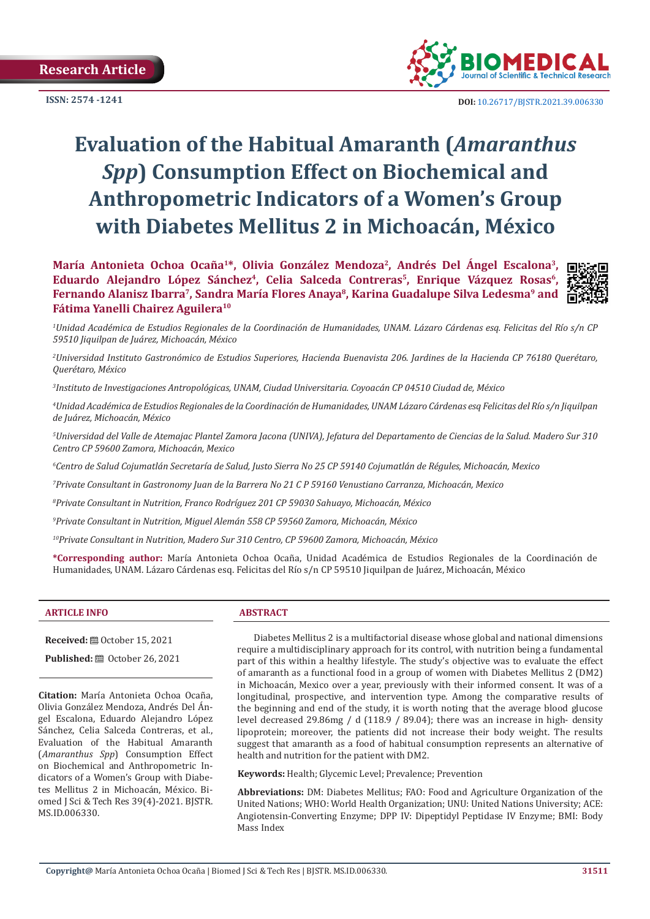**Research Article**

**ISSN: 2574 -1241**



 **DOI:** [10.26717/BJSTR.2021.39.006330](https://dx.doi.org/10.26717/BJSTR.2021.39.006330)

# **Evaluation of the Habitual Amaranth (***Amaranthus Spp***) Consumption Effect on Biochemical and Anthropometric Indicators of a Women's Group with Diabetes Mellitus 2 in Michoacán, México**

María Antonieta Ochoa Ocaña<sup>1\*</sup>, Olivia González Mendoza<sup>2</sup>, Andrés Del Ángel Escalona<sup>3</sup>, Eduardo Alejandro López Sánchez<sup>4</sup>, Celia Salceda Contreras<sup>5</sup>, Enrique Vázquez Rosas<sup>6</sup>, Fernando Alanisz Ibarra<sup>7</sup>, Sandra María Flores Anaya<sup>8</sup>, Karina Guadalupe Silva Ledesma<sup>9</sup> and **Fátima Yanelli Chairez Aguilera10** 



*1 Unidad Académica de Estudios Regionales de la Coordinación de Humanidades, UNAM. Lázaro Cárdenas esq. Felicitas del Río s/n CP 59510 Jiquilpan de Juárez, Michoacán, México*

*2 Universidad Instituto Gastronómico de Estudios Superiores, Hacienda Buenavista 206. Jardines de la Hacienda CP 76180 Querétaro, Querétaro, México*

*3 Instituto de Investigaciones Antropológicas, UNAM, Ciudad Universitaria. Coyoacán CP 04510 Ciudad de, México*

*4 Unidad Académica de Estudios Regionales de la Coordinación de Humanidades, UNAM Lázaro Cárdenas esq Felicitas del Río s/n Jiquilpan de Juárez, Michoacán, México*

*5 Universidad del Valle de Atemajac Plantel Zamora Jacona (UNIVA), Jefatura del Departamento de Ciencias de la Salud. Madero Sur 310 Centro CP 59600 Zamora, Michoacán, Mexico*

*6 Centro de Salud Cojumatlán Secretaría de Salud, Justo Sierra No 25 CP 59140 Cojumatlán de Régules, Michoacán, Mexico*

*7 Private Consultant in Gastronomy Juan de la Barrera No 21 C P 59160 Venustiano Carranza, Michoacán, Mexico*

*8 Private Consultant in Nutrition, Franco Rodríguez 201 CP 59030 Sahuayo, Michoacán, México* 

*9 Private Consultant in Nutrition, Miguel Alemán 558 CP 59560 Zamora, Michoacán, México* 

*10Private Consultant in Nutrition, Madero Sur 310 Centro, CP 59600 Zamora, Michoacán, México* 

**\*Corresponding author:** María Antonieta Ochoa Ocaña, Unidad Académica de Estudios Regionales de la Coordinación de Humanidades, UNAM. Lázaro Cárdenas esq. Felicitas del Río s/n CP 59510 Jiquilpan de Juárez, Michoacán, México

#### **ARTICLE INFO ABSTRACT**

**Received:** ■ October 15, 2021

**Published:** ■ October 26, 2021

**Citation:** María Antonieta Ochoa Ocaña, Olivia González Mendoza, Andrés Del Ángel Escalona, Eduardo Alejandro López Sánchez, Celia Salceda Contreras, et al., Evaluation of the Habitual Amaranth (*Amaranthus Spp*) Consumption Effect on Biochemical and Anthropometric Indicators of a Women's Group with Diabetes Mellitus 2 in Michoacán, México. Biomed J Sci & Tech Res 39(4)-2021. BJSTR. MS.ID.006330.

Diabetes Mellitus 2 is a multifactorial disease whose global and national dimensions require a multidisciplinary approach for its control, with nutrition being a fundamental part of this within a healthy lifestyle. The study's objective was to evaluate the effect of amaranth as a functional food in a group of women with Diabetes Mellitus 2 (DM2) in Michoacán, Mexico over a year, previously with their informed consent. It was of a longitudinal, prospective, and intervention type. Among the comparative results of the beginning and end of the study, it is worth noting that the average blood glucose level decreased 29.86mg / d (118.9 / 89.04); there was an increase in high- density lipoprotein; moreover, the patients did not increase their body weight. The results suggest that amaranth as a food of habitual consumption represents an alternative of health and nutrition for the patient with DM2.

**Keywords:** Health; Glycemic Level; Prevalence; Prevention

**Abbreviations:** DM: Diabetes Mellitus; FAO: Food and Agriculture Organization of the United Nations; WHO: World Health Organization; UNU: United Nations University; ACE: Angiotensin-Converting Enzyme; DPP IV: Dipeptidyl Peptidase IV Enzyme; BMI: Body Mass Index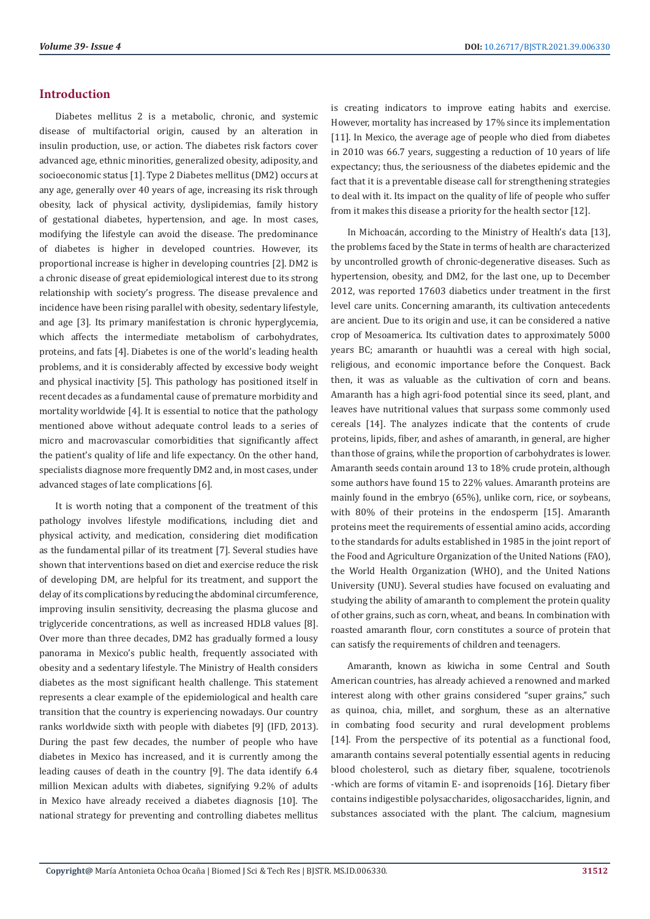#### **Introduction**

Diabetes mellitus 2 is a metabolic, chronic, and systemic disease of multifactorial origin, caused by an alteration in insulin production, use, or action. The diabetes risk factors cover advanced age, ethnic minorities, generalized obesity, adiposity, and socioeconomic status [1]. Type 2 Diabetes mellitus (DM2) occurs at any age, generally over 40 years of age, increasing its risk through obesity, lack of physical activity, dyslipidemias, family history of gestational diabetes, hypertension, and age. In most cases, modifying the lifestyle can avoid the disease. The predominance of diabetes is higher in developed countries. However, its proportional increase is higher in developing countries [2]. DM2 is a chronic disease of great epidemiological interest due to its strong relationship with society's progress. The disease prevalence and incidence have been rising parallel with obesity, sedentary lifestyle, and age [3]. Its primary manifestation is chronic hyperglycemia, which affects the intermediate metabolism of carbohydrates, proteins, and fats [4]. Diabetes is one of the world's leading health problems, and it is considerably affected by excessive body weight and physical inactivity [5]. This pathology has positioned itself in recent decades as a fundamental cause of premature morbidity and mortality worldwide [4]. It is essential to notice that the pathology mentioned above without adequate control leads to a series of micro and macrovascular comorbidities that significantly affect the patient's quality of life and life expectancy. On the other hand, specialists diagnose more frequently DM2 and, in most cases, under advanced stages of late complications [6].

It is worth noting that a component of the treatment of this pathology involves lifestyle modifications, including diet and physical activity, and medication, considering diet modification as the fundamental pillar of its treatment [7]. Several studies have shown that interventions based on diet and exercise reduce the risk of developing DM, are helpful for its treatment, and support the delay of its complications by reducing the abdominal circumference, improving insulin sensitivity, decreasing the plasma glucose and triglyceride concentrations, as well as increased HDL8 values [8]. Over more than three decades, DM2 has gradually formed a lousy panorama in Mexico's public health, frequently associated with obesity and a sedentary lifestyle. The Ministry of Health considers diabetes as the most significant health challenge. This statement represents a clear example of the epidemiological and health care transition that the country is experiencing nowadays. Our country ranks worldwide sixth with people with diabetes [9] (IFD, 2013). During the past few decades, the number of people who have diabetes in Mexico has increased, and it is currently among the leading causes of death in the country [9]. The data identify 6.4 million Mexican adults with diabetes, signifying 9.2% of adults in Mexico have already received a diabetes diagnosis [10]. The national strategy for preventing and controlling diabetes mellitus

is creating indicators to improve eating habits and exercise. However, mortality has increased by 17% since its implementation [11]. In Mexico, the average age of people who died from diabetes in 2010 was 66.7 years, suggesting a reduction of 10 years of life expectancy; thus, the seriousness of the diabetes epidemic and the fact that it is a preventable disease call for strengthening strategies to deal with it. Its impact on the quality of life of people who suffer from it makes this disease a priority for the health sector [12].

In Michoacán, according to the Ministry of Health's data [13], the problems faced by the State in terms of health are characterized by uncontrolled growth of chronic-degenerative diseases. Such as hypertension, obesity, and DM2, for the last one, up to December 2012, was reported 17603 diabetics under treatment in the first level care units. Concerning amaranth, its cultivation antecedents are ancient. Due to its origin and use, it can be considered a native crop of Mesoamerica. Its cultivation dates to approximately 5000 years BC; amaranth or huauhtli was a cereal with high social, religious, and economic importance before the Conquest. Back then, it was as valuable as the cultivation of corn and beans. Amaranth has a high agri-food potential since its seed, plant, and leaves have nutritional values that surpass some commonly used cereals [14]. The analyzes indicate that the contents of crude proteins, lipids, fiber, and ashes of amaranth, in general, are higher than those of grains, while the proportion of carbohydrates is lower. Amaranth seeds contain around 13 to 18% crude protein, although some authors have found 15 to 22% values. Amaranth proteins are mainly found in the embryo (65%), unlike corn, rice, or soybeans, with 80% of their proteins in the endosperm [15]. Amaranth proteins meet the requirements of essential amino acids, according to the standards for adults established in 1985 in the joint report of the Food and Agriculture Organization of the United Nations (FAO), the World Health Organization (WHO), and the United Nations University (UNU). Several studies have focused on evaluating and studying the ability of amaranth to complement the protein quality of other grains, such as corn, wheat, and beans. In combination with roasted amaranth flour, corn constitutes a source of protein that can satisfy the requirements of children and teenagers.

Amaranth, known as kiwicha in some Central and South American countries, has already achieved a renowned and marked interest along with other grains considered "super grains," such as quinoa, chia, millet, and sorghum, these as an alternative in combating food security and rural development problems [14]. From the perspective of its potential as a functional food, amaranth contains several potentially essential agents in reducing blood cholesterol, such as dietary fiber, squalene, tocotrienols -which are forms of vitamin E- and isoprenoids [16]. Dietary fiber contains indigestible polysaccharides, oligosaccharides, lignin, and substances associated with the plant. The calcium, magnesium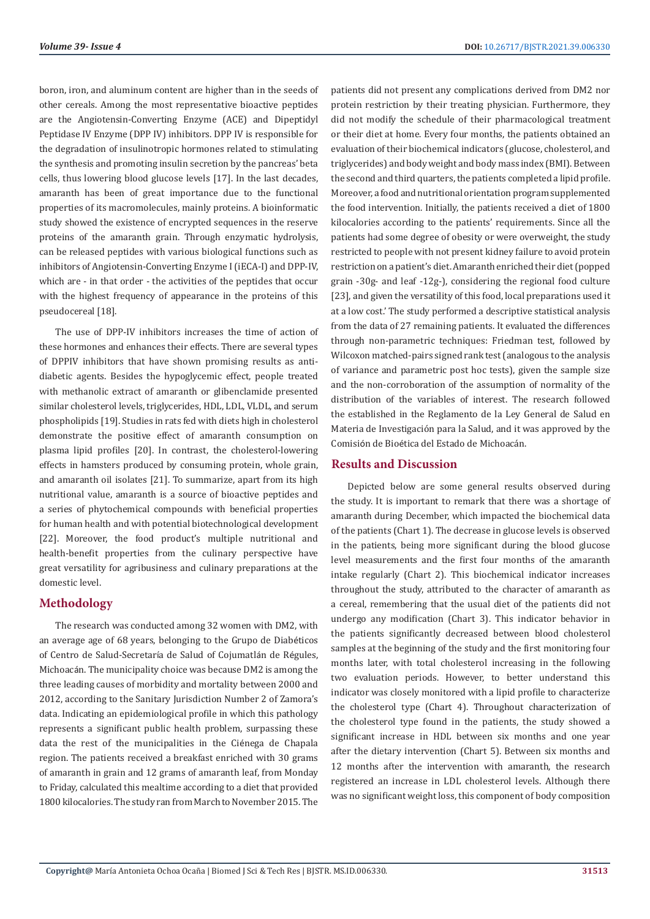boron, iron, and aluminum content are higher than in the seeds of other cereals. Among the most representative bioactive peptides are the Angiotensin-Converting Enzyme (ACE) and Dipeptidyl Peptidase IV Enzyme (DPP IV) inhibitors. DPP IV is responsible for the degradation of insulinotropic hormones related to stimulating the synthesis and promoting insulin secretion by the pancreas' beta cells, thus lowering blood glucose levels [17]. In the last decades, amaranth has been of great importance due to the functional properties of its macromolecules, mainly proteins. A bioinformatic study showed the existence of encrypted sequences in the reserve proteins of the amaranth grain. Through enzymatic hydrolysis, can be released peptides with various biological functions such as inhibitors of Angiotensin-Converting Enzyme I (iECA-I) and DPP-IV, which are - in that order - the activities of the peptides that occur with the highest frequency of appearance in the proteins of this pseudocereal [18].

The use of DPP-IV inhibitors increases the time of action of these hormones and enhances their effects. There are several types of DPPIV inhibitors that have shown promising results as antidiabetic agents. Besides the hypoglycemic effect, people treated with methanolic extract of amaranth or glibenclamide presented similar cholesterol levels, triglycerides, HDL, LDL, VLDL, and serum phospholipids [19]. Studies in rats fed with diets high in cholesterol demonstrate the positive effect of amaranth consumption on plasma lipid profiles [20]. In contrast, the cholesterol-lowering effects in hamsters produced by consuming protein, whole grain, and amaranth oil isolates [21]. To summarize, apart from its high nutritional value, amaranth is a source of bioactive peptides and a series of phytochemical compounds with beneficial properties for human health and with potential biotechnological development [22]. Moreover, the food product's multiple nutritional and health-benefit properties from the culinary perspective have great versatility for agribusiness and culinary preparations at the domestic level.

## **Methodology**

The research was conducted among 32 women with DM2, with an average age of 68 years, belonging to the Grupo de Diabéticos of Centro de Salud-Secretaría de Salud of Cojumatlán de Régules, Michoacán. The municipality choice was because DM2 is among the three leading causes of morbidity and mortality between 2000 and 2012, according to the Sanitary Jurisdiction Number 2 of Zamora's data. Indicating an epidemiological profile in which this pathology represents a significant public health problem, surpassing these data the rest of the municipalities in the Ciénega de Chapala region. The patients received a breakfast enriched with 30 grams of amaranth in grain and 12 grams of amaranth leaf, from Monday to Friday, calculated this mealtime according to a diet that provided 1800 kilocalories. The study ran from March to November 2015. The

patients did not present any complications derived from DM2 nor protein restriction by their treating physician. Furthermore, they did not modify the schedule of their pharmacological treatment or their diet at home. Every four months, the patients obtained an evaluation of their biochemical indicators (glucose, cholesterol, and triglycerides) and body weight and body mass index (BMI). Between the second and third quarters, the patients completed a lipid profile. Moreover, a food and nutritional orientation program supplemented the food intervention. Initially, the patients received a diet of 1800 kilocalories according to the patients' requirements. Since all the patients had some degree of obesity or were overweight, the study restricted to people with not present kidney failure to avoid protein restriction on a patient's diet. Amaranth enriched their diet (popped grain -30g- and leaf -12g-), considering the regional food culture [23], and given the versatility of this food, local preparations used it at a low cost.' The study performed a descriptive statistical analysis from the data of 27 remaining patients. It evaluated the differences through non-parametric techniques: Friedman test, followed by Wilcoxon matched-pairs signed rank test (analogous to the analysis of variance and parametric post hoc tests), given the sample size and the non-corroboration of the assumption of normality of the distribution of the variables of interest. The research followed the established in the Reglamento de la Ley General de Salud en Materia de Investigación para la Salud, and it was approved by the Comisión de Bioética del Estado de Michoacán.

## **Results and Discussion**

Depicted below are some general results observed during the study. It is important to remark that there was a shortage of amaranth during December, which impacted the biochemical data of the patients (Chart 1). The decrease in glucose levels is observed in the patients, being more significant during the blood glucose level measurements and the first four months of the amaranth intake regularly (Chart 2). This biochemical indicator increases throughout the study, attributed to the character of amaranth as a cereal, remembering that the usual diet of the patients did not undergo any modification (Chart 3). This indicator behavior in the patients significantly decreased between blood cholesterol samples at the beginning of the study and the first monitoring four months later, with total cholesterol increasing in the following two evaluation periods. However, to better understand this indicator was closely monitored with a lipid profile to characterize the cholesterol type (Chart 4). Throughout characterization of the cholesterol type found in the patients, the study showed a significant increase in HDL between six months and one year after the dietary intervention (Chart 5). Between six months and 12 months after the intervention with amaranth, the research registered an increase in LDL cholesterol levels. Although there was no significant weight loss, this component of body composition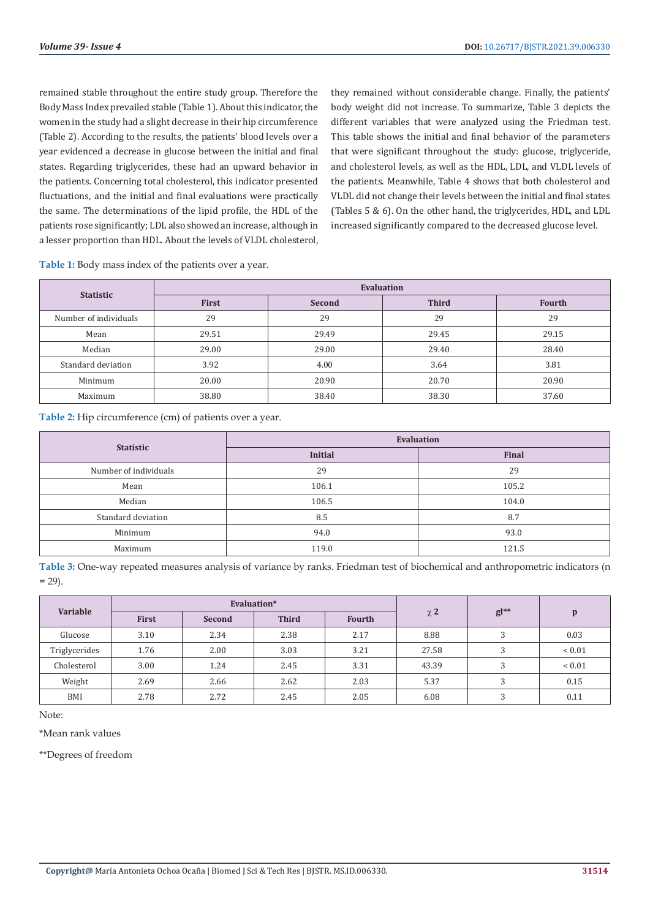remained stable throughout the entire study group. Therefore the Body Mass Index prevailed stable (Table 1). About this indicator, the women in the study had a slight decrease in their hip circumference (Table 2). According to the results, the patients' blood levels over a year evidenced a decrease in glucose between the initial and final states. Regarding triglycerides, these had an upward behavior in the patients. Concerning total cholesterol, this indicator presented fluctuations, and the initial and final evaluations were practically the same. The determinations of the lipid profile, the HDL of the patients rose significantly; LDL also showed an increase, although in a lesser proportion than HDL. About the levels of VLDL cholesterol,

they remained without considerable change. Finally, the patients' body weight did not increase. To summarize, Table 3 depicts the different variables that were analyzed using the Friedman test. This table shows the initial and final behavior of the parameters that were significant throughout the study: glucose, triglyceride, and cholesterol levels, as well as the HDL, LDL, and VLDL levels of the patients. Meanwhile, Table 4 shows that both cholesterol and VLDL did not change their levels between the initial and final states (Tables 5 & 6). On the other hand, the triglycerides, HDL, and LDL increased significantly compared to the decreased glucose level.

**Table 1:** Body mass index of the patients over a year.

| <b>Statistic</b>      | <b>Evaluation</b> |        |              |               |  |  |
|-----------------------|-------------------|--------|--------------|---------------|--|--|
|                       | <b>First</b>      | Second | <b>Third</b> | <b>Fourth</b> |  |  |
| Number of individuals | 29                | 29     | 29           | 29            |  |  |
| Mean                  | 29.51             | 29.49  | 29.45        | 29.15         |  |  |
| Median                | 29.00             | 29.00  | 29.40        | 28.40         |  |  |
| Standard deviation    | 3.92              | 4.00   | 3.64         | 3.81          |  |  |
| Minimum               | 20.00             | 20.90  | 20.70        | 20.90         |  |  |
| Maximum               | 38.80             | 38.40  | 38.30        | 37.60         |  |  |

**Table 2:** Hip circumference (cm) of patients over a year.

| <b>Statistic</b>      | Evaluation     |       |  |  |
|-----------------------|----------------|-------|--|--|
|                       | <b>Initial</b> | Final |  |  |
| Number of individuals | 29             | 29    |  |  |
| Mean                  | 106.1          | 105.2 |  |  |
| Median                | 106.5          | 104.0 |  |  |
| Standard deviation    | 8.5            | 8.7   |  |  |
| Minimum               | 94.0           | 93.0  |  |  |
| Maximum               | 119.0          | 121.5 |  |  |

**Table 3:** One-way repeated measures analysis of variance by ranks. Friedman test of biochemical and anthropometric indicators (n  $= 29$ ).

| Variable      |       |        | Evaluation*  |               | $g$ <sup>**</sup> |   |              |
|---------------|-------|--------|--------------|---------------|-------------------|---|--------------|
|               | First | Second | <b>Third</b> | <b>Fourth</b> | $\chi$ 2          |   | $\mathbf{p}$ |
| Glucose       | 3.10  | 2.34   | 2.38         | 2.17          | 8.88              | 3 | 0.03         |
| Triglycerides | 1.76  | 2.00   | 3.03         | 3.21          | 27.58             | 3 | ${}< 0.01$   |
| Cholesterol   | 3.00  | 1.24   | 2.45         | 3.31          | 43.39             | 3 | ${}< 0.01$   |
| Weight        | 2.69  | 2.66   | 2.62         | 2.03          | 5.37              | 3 | 0.15         |
| BMI           | 2.78  | 2.72   | 2.45         | 2.05          | 6.08              | 3 | 0.11         |

Note:

\*Mean rank values

\*\*Degrees of freedom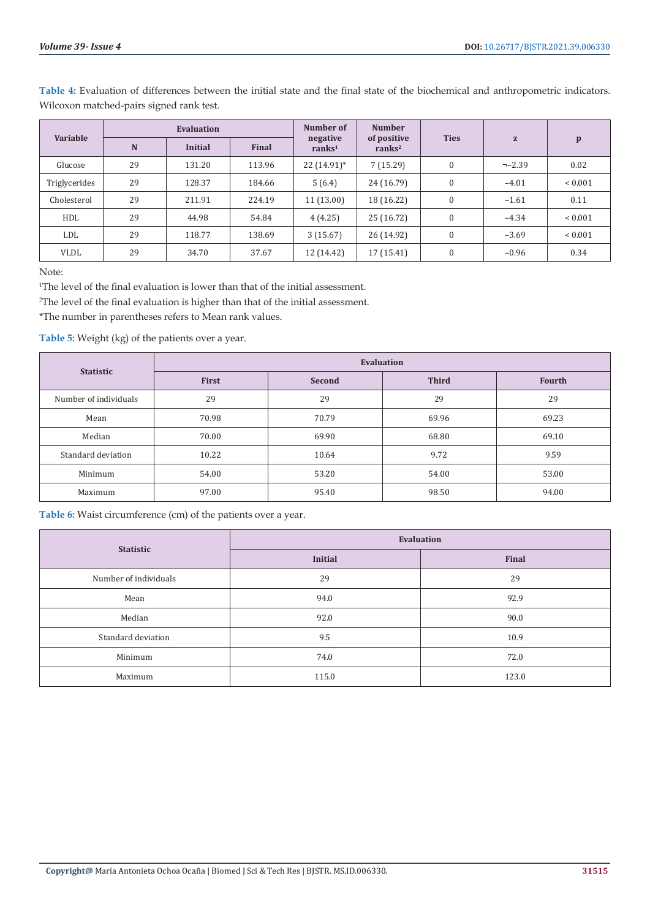|               | Evaluation |         |              | Number of                      | <b>Number</b>                     |              |           |              |
|---------------|------------|---------|--------------|--------------------------------|-----------------------------------|--------------|-----------|--------------|
| Variable      | N          | Initial | <b>Final</b> | negative<br>ranks <sup>1</sup> | of positive<br>ranks <sup>2</sup> | <b>Ties</b>  | ${\bf z}$ | $\mathbf{p}$ |
| Glucose       | 29         | 131.20  | 113.96       | 22 (14.91)*                    | 7(15.29)                          | $\mathbf{0}$ | $-2.39$   | 0.02         |
| Triglycerides | 29         | 128.37  | 184.66       | 5(6.4)                         | 24 (16.79)                        | $\mathbf{0}$ | $-4.01$   | ${}< 0.001$  |
| Cholesterol   | 29         | 211.91  | 224.19       | 11(13.00)                      | 18 (16.22)                        | $\mathbf{0}$ | $-1.61$   | 0.11         |
| HDL           | 29         | 44.98   | 54.84        | 4(4.25)                        | 25 (16.72)                        | $\Omega$     | $-4.34$   | ${}< 0.001$  |
| <b>LDL</b>    | 29         | 118.77  | 138.69       | 3(15.67)                       | 26 (14.92)                        | $\mathbf{0}$ | $-3.69$   | ${}< 0.001$  |
| <b>VLDL</b>   | 29         | 34.70   | 37.67        | 12 (14.42)                     | 17(15.41)                         | $\mathbf{0}$ | $-0.96$   | 0.34         |

**Table 4:** Evaluation of differences between the initial state and the final state of the biochemical and anthropometric indicators. Wilcoxon matched-pairs signed rank test.

Note:

1 The level of the final evaluation is lower than that of the initial assessment.

2 The level of the final evaluation is higher than that of the initial assessment.

\*The number in parentheses refers to Mean rank values.

**Table 5:** Weight (kg) of the patients over a year.

| <b>Statistic</b>      | <b>Evaluation</b> |        |              |               |  |  |
|-----------------------|-------------------|--------|--------------|---------------|--|--|
|                       | <b>First</b>      | Second | <b>Third</b> | <b>Fourth</b> |  |  |
| Number of individuals | 29                | 29     | 29           | 29            |  |  |
| Mean                  | 70.98             | 70.79  | 69.96        | 69.23         |  |  |
| Median                | 70.00             | 69.90  | 68.80        | 69.10         |  |  |
| Standard deviation    | 10.22             | 10.64  | 9.72         | 9.59          |  |  |
| Minimum               | 54.00             | 53.20  | 54.00        | 53.00         |  |  |
| Maximum               | 97.00             | 95.40  | 98.50        | 94.00         |  |  |

**Table 6:** Waist circumference (cm) of the patients over a year.

|                       | Evaluation     |       |  |  |
|-----------------------|----------------|-------|--|--|
| <b>Statistic</b>      | <b>Initial</b> | Final |  |  |
| Number of individuals | 29             | 29    |  |  |
| Mean                  | 94.0           | 92.9  |  |  |
| Median                | 92.0           | 90.0  |  |  |
| Standard deviation    | 9.5            | 10.9  |  |  |
| Minimum               | 74.0           | 72.0  |  |  |
| Maximum               | 115.0          | 123.0 |  |  |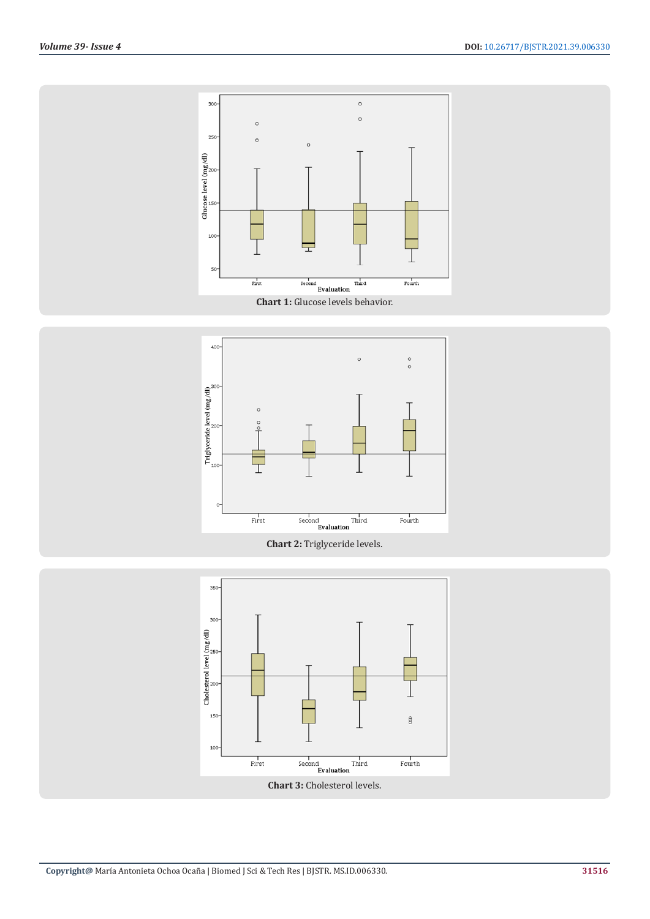



**Chart 2:** Triglyceride levels.

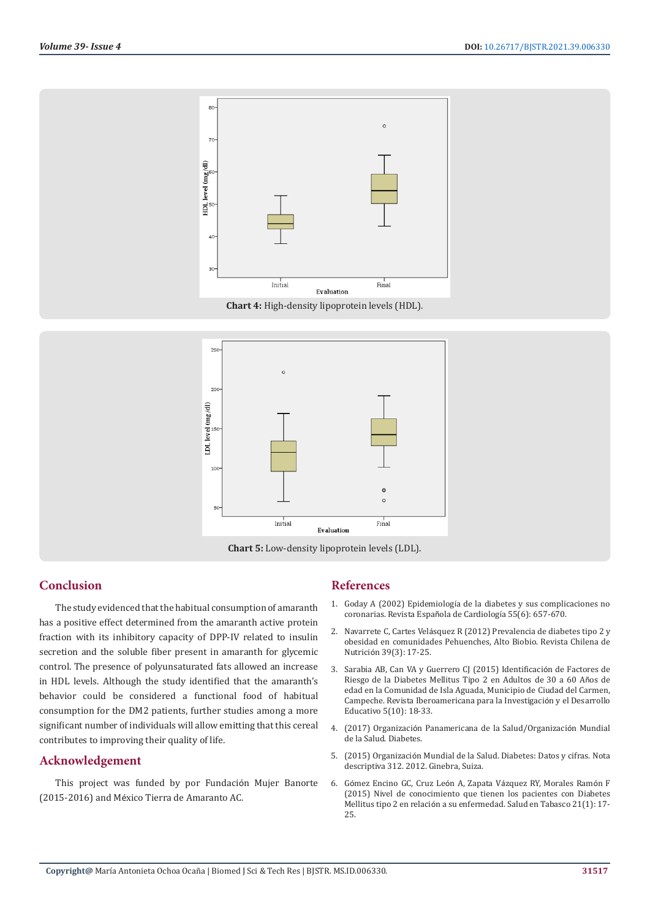



#### **Chart 5:** Low-density lipoprotein levels (LDL).

#### **Conclusion**

The study evidenced that the habitual consumption of amaranth has a positive effect determined from the amaranth active protein fraction with its inhibitory capacity of DPP-IV related to insulin secretion and the soluble fiber present in amaranth for glycemic control. The presence of polyunsaturated fats allowed an increase in HDL levels. Although the study identified that the amaranth's behavior could be considered a functional food of habitual consumption for the DM2 patients, further studies among a more significant number of individuals will allow emitting that this cereal contributes to improving their quality of life.

#### **Acknowledgement**

This project was funded by por Fundación Mujer Banorte (2015-2016) and México Tierra de Amaranto AC.

#### **References**

- 1. Goday A (2002) Epidemiologí[a de la diabetes y sus complicaciones no](https://www.revespcardiol.org/es-epidemiologia-diabetes-sus-complicaciones-no-articulo-13032546) [coronarias. Revista Espa](https://www.revespcardiol.org/es-epidemiologia-diabetes-sus-complicaciones-no-articulo-13032546)ñola de Cardiología 55(6): 657-670.
- 2. Navarrete C, Cartes Velá[squez R \(2012\) Prevalencia de diabetes tipo 2 y](https://www.scielo.cl/scielo.php?script=sci_arttext&pid=S0717-75182012000300001) [obesidad en comunidades Pehuenches, Alto Biobio. Revista Chilena de](https://www.scielo.cl/scielo.php?script=sci_arttext&pid=S0717-75182012000300001) Nutrició[n 39\(3\): 17-25.](https://www.scielo.cl/scielo.php?script=sci_arttext&pid=S0717-75182012000300001)
- 3. [Sarabia AB, Can VA y Guerrero CJ \(2015\) Identificaci](https://dialnet.unirioja.es/servlet/articulo?codigo=5435234)ón de Factores de [Riesgo de la Diabetes Mellitus Tipo 2 en Adultos de 30 a 60 A](https://dialnet.unirioja.es/servlet/articulo?codigo=5435234)ños de [edad en la Comunidad de Isla Aguada, Municipio de Ciudad del Carmen,](https://dialnet.unirioja.es/servlet/articulo?codigo=5435234) [Campeche. Revista Iberoamericana para la Investigaci](https://dialnet.unirioja.es/servlet/articulo?codigo=5435234)ón y el Desarrollo [Educativo 5\(10\): 18-33.](https://dialnet.unirioja.es/servlet/articulo?codigo=5435234)
- 4. (2017) Organizació[n Panamericana de la Salud/Organizaci](https://www.paho.org/es)ón Mundial [de la Salud. Diabetes.](https://www.paho.org/es)
- 5. (2015) Organizació[n Mundial de la Salud. Diabetes: Datos y cifras. Nota](https://www.who.int/es/news-room/fact-sheets/detail/diabetes) [descriptiva 312. 2012. Ginebra, Suiza.](https://www.who.int/es/news-room/fact-sheets/detail/diabetes)
- 6. Gó[mez Encino GC, Cruz Le](https://www.redalyc.org/pdf/487/48742127004.pdf)ón A, Zapata Vázquez RY, Morales Ramón F [\(2015\) Nivel de conocimiento que tienen los pacientes con Diabetes](https://www.redalyc.org/pdf/487/48742127004.pdf) Mellitus tipo 2 en relació[n a su enfermedad. Salud en Tabasco 21\(1\): 17-](https://www.redalyc.org/pdf/487/48742127004.pdf) [25.](https://www.redalyc.org/pdf/487/48742127004.pdf)